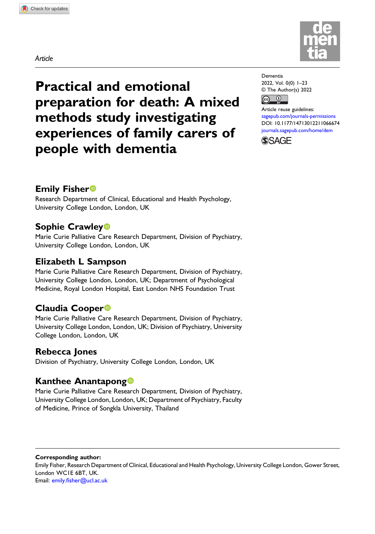Article

Practical and emotional preparation for death: A mixed methods study investigating experiences of family carers of people with dementia

## Emily Fisher

Research Department of Clinical, Educational and Health Psychology, University College London, London, UK

# Sophie Crawley

Marie Curie Palliative Care Research Department, Division of Psychiatry, University College London, London, UK

# Elizabeth L Sampson

Marie Curie Palliative Care Research Department, Division of Psychiatry, University College London, London, UK; Department of Psychological Medicine, Royal London Hospital, East London NHS Foundation Trust

# Claudia Cooper

Marie Curie Palliative Care Research Department, Division of Psychiatry, University College London, London, UK; Division of Psychiatry, University College London, London, UK

# Rebecca Jones

Division of Psychiatry, University College London, London, UK

# Kanthee Anantapong

Marie Curie Palliative Care Research Department, Division of Psychiatry, University College London, London, UK; Department of Psychiatry, Faculty of Medicine, Prince of Songkla University, Thailand

Corresponding author: Emily Fisher, Research Department of Clinical, Educational and Health Psychology, University College London, Gower Street, London WC1E 6BT, UK. Email: emily.fi[sher@ucl.ac.uk](mailto:emily.fisher@ucl.ac.uk)



Dementia 2022, Vol. 0(0) 1–23 © The Author(s) 2022  $\bigcirc$  $\left($ cc)

Article reuse guidelines: [sagepub.com/journals-permissions](https://uk.sagepub.com/en-gb/journals-permissions) DOI: [10.1177/14713012211066674](https://doi.org/10.1177/14713012211066674) [journals.sagepub.com/home/dem](https://journals.sagepub.com/home/dem)

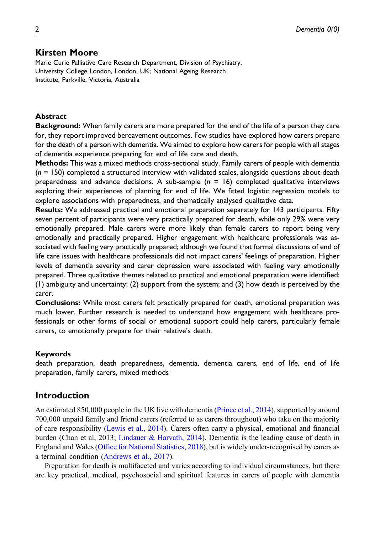### Kirsten Moore

Marie Curie Palliative Care Research Department, Division of Psychiatry, University College London, London, UK; National Ageing Research Institute, Parkville, Victoria, Australia

#### Abstract

**Background:** When family carers are more prepared for the end of the life of a person they care for, they report improved bereavement outcomes. Few studies have explored how carers prepare for the death of a person with dementia. We aimed to explore how carers for people with all stages of dementia experience preparing for end of life care and death.

**Methods:** This was a mixed methods cross-sectional study. Family carers of people with dementia  $(n = 150)$  completed a structured interview with validated scales, alongside questions about death preparedness and advance decisions. A sub-sample  $(n = 16)$  completed qualitative interviews exploring their experiences of planning for end of life. We fitted logistic regression models to explore associations with preparedness, and thematically analysed qualitative data.

Results: We addressed practical and emotional preparation separately for 143 participants. Fifty seven percent of participants were very practically prepared for death, while only 29% were very emotionally prepared. Male carers were more likely than female carers to report being very emotionally and practically prepared. Higher engagement with healthcare professionals was associated with feeling very practically prepared; although we found that formal discussions of end of life care issues with healthcare professionals did not impact carers' feelings of preparation. Higher levels of dementia severity and carer depression were associated with feeling very emotionally prepared. Three qualitative themes related to practical and emotional preparation were identified: (1) ambiguity and uncertainty; (2) support from the system; and (3) how death is perceived by the carer.

Conclusions: While most carers felt practically prepared for death, emotional preparation was much lower. Further research is needed to understand how engagement with healthcare professionals or other forms of social or emotional support could help carers, particularly female carers, to emotionally prepare for their relative's death.

#### Keywords

death preparation, death preparedness, dementia, dementia carers, end of life, end of life preparation, family carers, mixed methods

#### Introduction

An estimated 850,000 people in the UK live with dementia ([Prince et al., 2014\)](#page-20-0), supported by around 700,000 unpaid family and friend carers (referred to as carers throughout) who take on the majority of care responsibility ([Lewis et al., 2014](#page-19-0)). Carers often carry a physical, emotional and financial burden (Chan et al, 2013; [Lindauer & Harvath, 2014\)](#page-20-1). Dementia is the leading cause of death in England and Wales (Offi[ce for National Statistics, 2018](#page-20-2)), but is widely under-recognised by carers as a terminal condition [\(Andrews et al., 2017\)](#page-18-0).

Preparation for death is multifaceted and varies according to individual circumstances, but there are key practical, medical, psychosocial and spiritual features in carers of people with dementia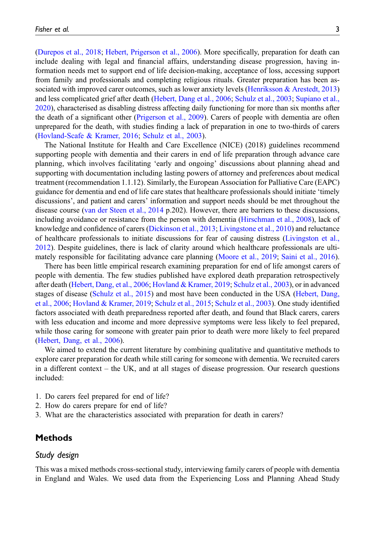([Durepos et al., 2018;](#page-19-1) [Hebert, Prigerson et al., 2006\)](#page-19-2). More specifically, preparation for death can include dealing with legal and financial affairs, understanding disease progression, having information needs met to support end of life decision-making, acceptance of loss, accessing support from family and professionals and completing religious rituals. Greater preparation has been as-sociated with improved carer outcomes, such as lower anxiety levels [\(Henriksson & Arestedt, 2013](#page-19-3)) and less complicated grief after death ([Hebert, Dang et al., 2006](#page-19-4); [Schulz et al., 2003](#page-21-0); [Supiano et al.,](#page-21-1) [2020](#page-21-1)), characterised as disabling distress affecting daily functioning for more than six months after the death of a significant other [\(Prigerson et al., 2009\)](#page-20-3). Carers of people with dementia are often unprepared for the death, with studies finding a lack of preparation in one to two-thirds of carers ([Hovland-Scafe & Kramer, 2016;](#page-19-5) [Schulz et al., 2003\)](#page-21-0).

The National Institute for Health and Care Excellence (NICE) (2018) guidelines recommend supporting people with dementia and their carers in end of life preparation through advance care planning, which involves facilitating 'early and ongoing' discussions about planning ahead and supporting with documentation including lasting powers of attorney and preferences about medical treatment (recommendation 1.1.12). Similarly, the European Association for Palliative Care (EAPC) guidance for dementia and end of life care states that healthcare professionals should initiate 'timely discussions', and patient and carers' information and support needs should be met throughout the disease course [\(van der Steen et al., 2014](#page-21-2) p.202). However, there are barriers to these discussions, including avoidance or resistance from the person with dementia ([Hirschman et al., 2008\)](#page-19-6), lack of knowledge and confidence of carers [\(Dickinson et al., 2013](#page-18-1); [Livingstone et al., 2010](#page-20-4)) and reluctance of healthcare professionals to initiate discussions for fear of causing distress ([Livingston et al.,](#page-20-5) [2012](#page-20-5)). Despite guidelines, there is lack of clarity around which healthcare professionals are ultimately responsible for facilitating advance care planning ([Moore et al., 2019;](#page-20-6) [Saini et al., 2016\)](#page-20-7).

There has been little empirical research examining preparation for end of life amongst carers of people with dementia. The few studies published have explored death preparation retrospectively after death ([Hebert, Dang, et al., 2006](#page-19-4); [Hovland & Kramer, 2019;](#page-19-7) [Schulz et al., 2003\)](#page-21-0), or in advanced stages of disease ([Schulz et al., 2015](#page-21-3)) and most have been conducted in the USA [\(Hebert, Dang,](#page-19-4) [et al., 2006;](#page-19-4) [Hovland & Kramer, 2019](#page-19-7); [Schulz et al., 2015;](#page-21-3) [Schulz et al., 2003\)](#page-21-0). One study identified factors associated with death preparedness reported after death, and found that Black carers, carers with less education and income and more depressive symptoms were less likely to feel prepared, while those caring for someone with greater pain prior to death were more likely to feel prepared ([Hebert, Dang, et al., 2006](#page-19-4)).

We aimed to extend the current literature by combining qualitative and quantitative methods to explore carer preparation for death while still caring for someone with dementia. We recruited carers in a different context – the UK, and at all stages of disease progression. Our research questions included:

- 1. Do carers feel prepared for end of life?
- 2. How do carers prepare for end of life?
- 3. What are the characteristics associated with preparation for death in carers?

## **Methods**

#### Study design

This was a mixed methods cross-sectional study, interviewing family carers of people with dementia in England and Wales. We used data from the Experiencing Loss and Planning Ahead Study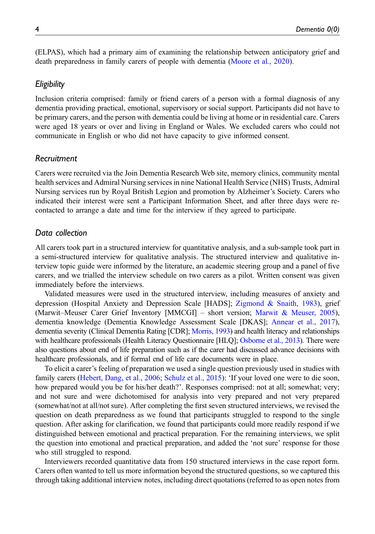(ELPAS), which had a primary aim of examining the relationship between anticipatory grief and death preparedness in family carers of people with dementia ([Moore et al., 2020](#page-20-8)).

### **Eligibility**

Inclusion criteria comprised: family or friend carers of a person with a formal diagnosis of any dementia providing practical, emotional, supervisory or social support. Participants did not have to be primary carers, and the person with dementia could be living at home or in residential care. Carers were aged 18 years or over and living in England or Wales. We excluded carers who could not communicate in English or who did not have capacity to give informed consent.

## Recruitment

Carers were recruited via the Join Dementia Research Web site, memory clinics, community mental health services and Admiral Nursing services in nine National Health Service (NHS) Trusts, Admiral Nursing services run by Royal British Legion and promotion by Alzheimer's Society. Carers who indicated their interest were sent a Participant Information Sheet, and after three days were recontacted to arrange a date and time for the interview if they agreed to participate.

### Data collection

All carers took part in a structured interview for quantitative analysis, and a sub-sample took part in a semi-structured interview for qualitative analysis. The structured interview and qualitative interview topic guide were informed by the literature, an academic steering group and a panel of five carers, and we trialled the interview schedule on two carers as a pilot. Written consent was given immediately before the interviews.

Validated measures were used in the structured interview, including measures of anxiety and depression (Hospital Anxiety and Depression Scale [HADS]; [Zigmond & Snaith, 1983\)](#page-21-4), grief (Marwit–Meuser Carer Grief Inventory [MMCGI] – short version; [Marwit & Meuser, 2005\)](#page-20-9), dementia knowledge (Dementia Knowledge Assessment Scale [DKAS]; [Annear et al., 2017\)](#page-18-2), dementia severity (Clinical Dementia Rating [CDR]; [Morris, 1993\)](#page-20-10) and health literacy and relationships with healthcare professionals (Health Literacy Questionnaire [HLQ]; [Osborne et al., 2013\)](#page-20-11). There were also questions about end of life preparation such as if the carer had discussed advance decisions with healthcare professionals, and if formal end of life care documents were in place.

To elicit a carer's feeling of preparation we used a single question previously used in studies with family carers ([Hebert, Dang, et al., 2006;](#page-19-4) [Schulz et al., 2015](#page-21-3)): 'If your loved one were to die soon, how prepared would you be for his/her death?'. Responses comprised: not at all; somewhat; very; and not sure and were dichotomised for analysis into very prepared and not very prepared (somewhat/not at all/not sure). After completing the first seven structured interviews, we revised the question on death preparedness as we found that participants struggled to respond to the single question. After asking for clarification, we found that participants could more readily respond if we distinguished between emotional and practical preparation. For the remaining interviews, we split the question into emotional and practical preparation, and added the 'not sure' response for those who still struggled to respond.

Interviewers recorded quantitative data from 150 structured interviews in the case report form. Carers often wanted to tell us more information beyond the structured questions, so we captured this through taking additional interview notes, including direct quotations (referred to as open notes from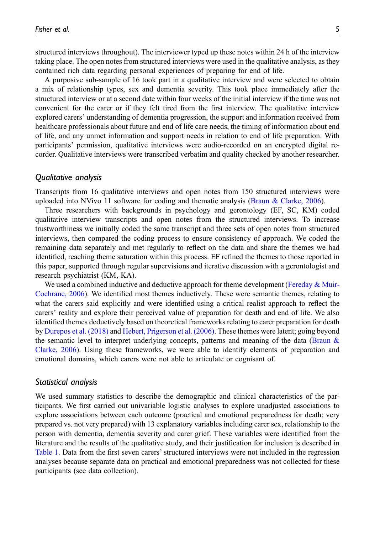structured interviews throughout). The interviewer typed up these notes within 24 h of the interview taking place. The open notes from structured interviews were used in the qualitative analysis, as they contained rich data regarding personal experiences of preparing for end of life.

A purposive sub-sample of 16 took part in a qualitative interview and were selected to obtain a mix of relationship types, sex and dementia severity. This took place immediately after the structured interview or at a second date within four weeks of the initial interview if the time was not convenient for the carer or if they felt tired from the first interview. The qualitative interview explored carers' understanding of dementia progression, the support and information received from healthcare professionals about future and end of life care needs, the timing of information about end of life, and any unmet information and support needs in relation to end of life preparation. With participants' permission, qualitative interviews were audio-recorded on an encrypted digital recorder. Qualitative interviews were transcribed verbatim and quality checked by another researcher.

#### Qualitative analysis

Transcripts from 16 qualitative interviews and open notes from 150 structured interviews were uploaded into NVivo 11 software for coding and thematic analysis [\(Braun & Clarke, 2006\)](#page-18-3).

Three researchers with backgrounds in psychology and gerontology (EF, SC, KM) coded qualitative interview transcripts and open notes from the structured interviews. To increase trustworthiness we initially coded the same transcript and three sets of open notes from structured interviews, then compared the coding process to ensure consistency of approach. We coded the remaining data separately and met regularly to reflect on the data and share the themes we had identified, reaching theme saturation within this process. EF refined the themes to those reported in this paper, supported through regular supervisions and iterative discussion with a gerontologist and research psychiatrist (KM, KA).

We used a combined inductive and deductive approach for theme development (Fereday  $\&$  Muir-[Cochrane, 2006\)](#page-19-8). We identified most themes inductively. These were semantic themes, relating to what the carers said explicitly and were identified using a critical realist approach to reflect the carers' reality and explore their perceived value of preparation for death and end of life. We also identified themes deductively based on theoretical frameworks relating to carer preparation for death by [Durepos et al. \(2018\)](#page-19-1) and [Hebert, Prigerson et al. \(2006\)](#page-19-2). These themes were latent; going beyond the semantic level to interpret underlying concepts, patterns and meaning of the data (Braun  $\&$ [Clarke, 2006](#page-18-3)). Using these frameworks, we were able to identify elements of preparation and emotional domains, which carers were not able to articulate or cognisant of.

#### Statistical analysis

We used summary statistics to describe the demographic and clinical characteristics of the participants. We first carried out univariable logistic analyses to explore unadjusted associations to explore associations between each outcome (practical and emotional preparedness for death; very prepared vs. not very prepared) with 13 explanatory variables including carer sex, relationship to the person with dementia, dementia severity and carer grief. These variables were identified from the literature and the results of the qualitative study, and their justification for inclusion is described in [Table 1.](#page-6-0) Data from the first seven carers' structured interviews were not included in the regression analyses because separate data on practical and emotional preparedness was not collected for these participants (see data collection).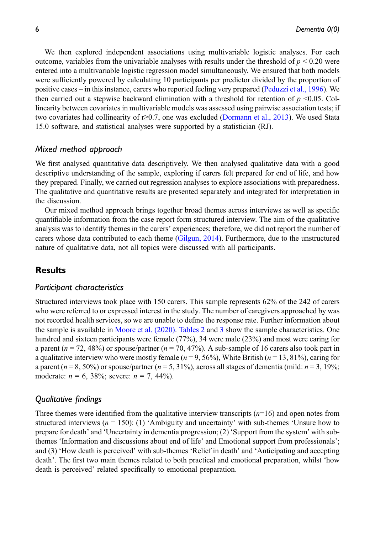We then explored independent associations using multivariable logistic analyses. For each outcome, variables from the univariable analyses with results under the threshold of  $p \le 0.20$  were entered into a multivariable logistic regression model simultaneously. We ensured that both models were sufficiently powered by calculating 10 participants per predictor divided by the proportion of positive cases – in this instance, carers who reported feeling very prepared [\(Peduzzi et al., 1996\)](#page-20-12). We then carried out a stepwise backward elimination with a threshold for retention of  $p \le 0.05$ . Collinearity between covariates in multivariable models was assessed using pairwise association tests; if two covariates had collinearity of r≥0.7, one was excluded ([Dormann et al., 2013](#page-18-4)). We used Stata 15.0 software, and statistical analyses were supported by a statistician (RJ).

#### Mixed method approach

We first analysed quantitative data descriptively. We then analysed qualitative data with a good descriptive understanding of the sample, exploring if carers felt prepared for end of life, and how they prepared. Finally, we carried out regression analyses to explore associations with preparedness. The qualitative and quantitative results are presented separately and integrated for interpretation in the discussion.

Our mixed method approach brings together broad themes across interviews as well as specific quantifiable information from the case report form structured interview. The aim of the qualitative analysis was to identify themes in the carers' experiences; therefore, we did not report the number of carers whose data contributed to each theme ([Gilgun, 2014](#page-19-9)). Furthermore, due to the unstructured nature of qualitative data, not all topics were discussed with all participants.

## **Results**

### Participant characteristics

Structured interviews took place with 150 carers. This sample represents 62% of the 242 of carers who were referred to or expressed interest in the study. The number of caregivers approached by was not recorded health services, so we are unable to define the response rate. Further information about the sample is available in [Moore et al. \(2020\).](#page-20-8) [Tables 2](#page-8-0) and [3](#page-9-0) show the sample characteristics. One hundred and sixteen participants were female (77%), 34 were male (23%) and most were caring for a parent ( $n = 72, 48\%$ ) or spouse/partner ( $n = 70, 47\%$ ). A sub-sample of 16 carers also took part in a qualitative interview who were mostly female ( $n = 9, 56\%$ ), White British ( $n = 13, 81\%$ ), caring for a parent ( $n = 8, 50\%$ ) or spouse/partner ( $n = 5, 31\%$ ), across all stages of dementia (mild:  $n = 3, 19\%$ ; moderate:  $n = 6, 38\%$ ; severe:  $n = 7, 44\%$ ).

## Qualitative findings

Three themes were identified from the qualitative interview transcripts  $(n=16)$  and open notes from structured interviews ( $n = 150$ ): (1) 'Ambiguity and uncertainty' with sub-themes 'Unsure how to prepare for death' and 'Uncertainty in dementia progression; (2) 'Support from the system' with subthemes 'Information and discussions about end of life' and Emotional support from professionals'; and (3) 'How death is perceived' with sub-themes 'Relief in death' and 'Anticipating and accepting death'. The first two main themes related to both practical and emotional preparation, whilst 'how death is perceived' related specifically to emotional preparation.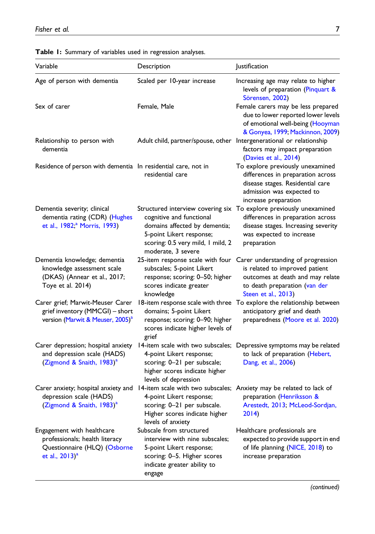<span id="page-6-0"></span>Table 1: Summary of variables used in regression analyses.

| Variable                                                                                                            | Description                                                                                                                                                                           | Justification                                                                                                                                                                                     |
|---------------------------------------------------------------------------------------------------------------------|---------------------------------------------------------------------------------------------------------------------------------------------------------------------------------------|---------------------------------------------------------------------------------------------------------------------------------------------------------------------------------------------------|
| Age of person with dementia                                                                                         | Scaled per 10-year increase                                                                                                                                                           | Increasing age may relate to higher<br>levels of preparation (Pinquart &<br>Sörensen, 2002)                                                                                                       |
| Sex of carer                                                                                                        | Female, Male                                                                                                                                                                          | Female carers may be less prepared<br>due to lower reported lower levels<br>of emotional well-being (Hooyman<br>& Gonyea, 1999; Mackinnon, 2009)                                                  |
| Relationship to person with<br>dementia                                                                             | Adult child, partner/spouse, other                                                                                                                                                    | Intergenerational or relationship<br>factors may impact preparation<br>(Davies et al., 2014)                                                                                                      |
| Residence of person with dementia In residential care, not in                                                       | residential care                                                                                                                                                                      | To explore previously unexamined<br>differences in preparation across<br>disease stages. Residential care<br>admission was expected to<br>increase preparation                                    |
| Dementia severity; clinical<br>dementia rating (CDR) (Hughes<br>et al., 1982; <sup>a</sup> Morris, 1993)            | Structured interview covering six<br>cognitive and functional<br>domains affected by dementia;<br>5-point Likert response;<br>scoring: 0.5 very mild, 1 mild, 2<br>moderate, 3 severe | To explore previously unexamined<br>differences in preparation across<br>disease stages. Increasing severity<br>was expected to increase<br>preparation                                           |
| Dementia knowledge; dementia<br>knowledge assessment scale<br>(DKAS) (Annear et al., 2017;<br>Toye et al. 2014)     | subscales; 5-point Likert<br>response; scoring: 0-50; higher<br>scores indicate greater<br>knowledge                                                                                  | 25-item response scale with four Carer understanding of progression<br>is related to improved patient<br>outcomes at death and may relate<br>to death preparation (van der<br>Steen et al., 2013) |
| Carer grief; Marwit-Meuser Carer<br>grief inventory (MMCGI) - short<br>version (Marwit & Meuser, 2005) <sup>a</sup> | 18-item response scale with three<br>domains; 5-point Likert<br>response; scoring: 0-90; higher<br>scores indicate higher levels of<br>grief                                          | To explore the relationship between<br>anticipatory grief and death<br>preparedness (Moore et al. 2020)                                                                                           |
| Carer depression; hospital anxiety<br>and depression scale (HADS)<br>(Zigmond & Snaith, 1983) <sup>a</sup>          | 14-item scale with two subscales;<br>4-point Likert response;<br>scoring: 0-21 per subscale;<br>higher scores indicate higher<br>levels of depression                                 | Depressive symptoms may be related<br>to lack of preparation (Hebert,<br>Dang, et al., 2006)                                                                                                      |
| Carer anxiety; hospital anxiety and<br>depression scale (HADS)<br>(Zigmond & Snaith, 1983) <sup>a</sup>             | 4-point Likert response;<br>scoring: 0-21 per subscale.<br>Higher scores indicate higher<br>levels of anxiety                                                                         | 14-item scale with two subscales; Anxiety may be related to lack of<br>preparation (Henriksson &<br>Arestedt, 2013; McLeod-Sordjan,<br>2014)                                                      |
| Engagement with healthcare<br>professionals; health literacy<br>Questionnaire (HLQ) (Osborne<br>et al., $2013)^{a}$ | Subscale from structured<br>interview with nine subscales;<br>5-point Likert response;<br>scoring: 0-5. Higher scores<br>indicate greater ability to<br>engage                        | Healthcare professionals are<br>expected to provide support in end<br>of life planning (NICE, 2018) to<br>increase preparation                                                                    |

(continued)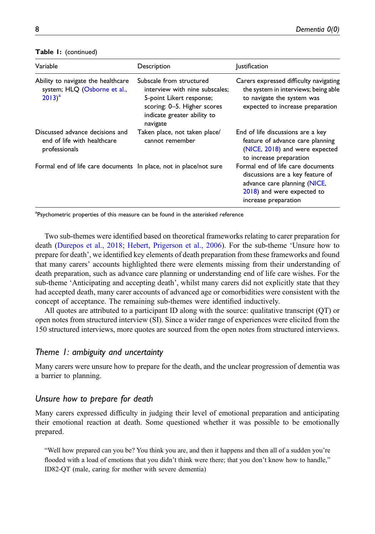| Variable                                                                          | Description                                                                                                                                                      | <i>lustification</i>                                                                                                                                        |  |
|-----------------------------------------------------------------------------------|------------------------------------------------------------------------------------------------------------------------------------------------------------------|-------------------------------------------------------------------------------------------------------------------------------------------------------------|--|
| Ability to navigate the healthcare<br>system; HLQ (Osborne et al.,<br>$2013)^{a}$ | Subscale from structured<br>interview with nine subscales:<br>5-point Likert response;<br>scoring: 0-5. Higher scores<br>indicate greater ability to<br>navigate | Carers expressed difficulty navigating<br>the system in interviews; being able<br>to navigate the system was<br>expected to increase preparation            |  |
| Discussed advance decisions and<br>end of life with healthcare<br>professionals   | Taken place, not taken place/<br>cannot remember                                                                                                                 | End of life discussions are a key<br>feature of advance care planning<br>(NICE, 2018) and were expected<br>to increase preparation                          |  |
| Formal end of life care documents In place, not in place/not sure                 |                                                                                                                                                                  | Formal end of life care documents<br>discussions are a key feature of<br>advance care planning (NICE,<br>2018) and were expected to<br>increase preparation |  |

#### Table 1: (continued)

<span id="page-7-0"></span><sup>a</sup>Psychometric properties of this measure can be found in the asterisked reference

Two sub-themes were identified based on theoretical frameworks relating to carer preparation for death ([Durepos et al., 2018](#page-19-1); [Hebert, Prigerson et al., 2006\)](#page-19-2). For the sub-theme 'Unsure how to prepare for death', we identified key elements of death preparation from these frameworks and found that many carers' accounts highlighted there were elements missing from their understanding of death preparation, such as advance care planning or understanding end of life care wishes. For the sub-theme 'Anticipating and accepting death', whilst many carers did not explicitly state that they had accepted death, many carer accounts of advanced age or comorbidities were consistent with the concept of acceptance. The remaining sub-themes were identified inductively.

All quotes are attributed to a participant ID along with the source: qualitative transcript (QT) or open notes from structured interview (SI). Since a wider range of experiences were elicited from the 150 structured interviews, more quotes are sourced from the open notes from structured interviews.

## Theme 1: ambiguity and uncertainty

Many carers were unsure how to prepare for the death, and the unclear progression of dementia was a barrier to planning.

#### Unsure how to prepare for death

Many carers expressed difficulty in judging their level of emotional preparation and anticipating their emotional reaction at death. Some questioned whether it was possible to be emotionally prepared.

"Well how prepared can you be? You think you are, and then it happens and then all of a sudden you're flooded with a load of emotions that you didn't think were there; that you don't know how to handle," ID82-QT (male, caring for mother with severe dementia)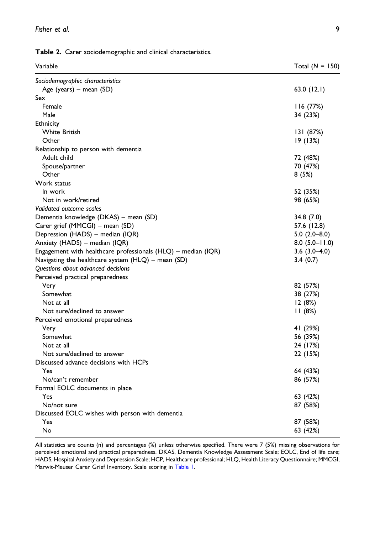Table 2. Carer sociodemographic and clinical characteristics.

| Sociodemographic characteristics<br>Age (years) - mean (SD)<br>63.0(12.1)<br>Sex<br>Female<br>116(77%)<br>Male<br>34 (23%)<br>Ethnicity<br><b>White British</b><br>131 (87%)<br>Other<br>19 (13%)<br>Relationship to person with dementia<br>Adult child<br>72 (48%)<br>Spouse/partner<br>70 (47%)<br>Other<br>8(5%)<br>Work status<br>In work<br>52 (35%)<br>Not in work/retired<br>98 (65%)<br>Validated outcome scales<br>Dementia knowledge (DKAS) – mean (SD)<br>34.8 (7.0)<br>Carer grief (MMCGI) - mean (SD)<br>57.6 (12.8)<br>Depression (HADS) - median (IQR)<br>$5.0(2.0-8.0)$<br>Anxiety (HADS) - median (IQR)<br>$8.0$ (5.0-11.0)<br>Engagement with healthcare professionals (HLQ) - median (IQR)<br>$3.6(3.0-4.0)$<br>Navigating the healthcare system $(HLQ)$ – mean (SD)<br>3.4(0.7)<br>Questions about advanced decisions<br>Perceived practical preparedness<br>Very<br>82 (57%)<br>Somewhat<br>38 (27%)<br>Not at all<br>12(8%)<br>Not sure/declined to answer<br>11(8%)<br>Perceived emotional preparedness<br>41 (29%)<br>Very<br>Somewhat<br>56 (39%)<br>Not at all<br>24 (17%)<br>Not sure/declined to answer<br>22 (15%)<br>Yes<br>64 (43%)<br>No/can't remember<br>86 (57%)<br>Formal EOLC documents in place<br>Yes<br>63 (42%)<br>No/not sure<br>87 (58%)<br>Discussed EOLC wishes with person with dementia<br>Yes<br>87 (58%) | Variable                              | Total $(N = 150)$ |
|------------------------------------------------------------------------------------------------------------------------------------------------------------------------------------------------------------------------------------------------------------------------------------------------------------------------------------------------------------------------------------------------------------------------------------------------------------------------------------------------------------------------------------------------------------------------------------------------------------------------------------------------------------------------------------------------------------------------------------------------------------------------------------------------------------------------------------------------------------------------------------------------------------------------------------------------------------------------------------------------------------------------------------------------------------------------------------------------------------------------------------------------------------------------------------------------------------------------------------------------------------------------------------------------------------------------------------------------------------|---------------------------------------|-------------------|
|                                                                                                                                                                                                                                                                                                                                                                                                                                                                                                                                                                                                                                                                                                                                                                                                                                                                                                                                                                                                                                                                                                                                                                                                                                                                                                                                                            |                                       |                   |
|                                                                                                                                                                                                                                                                                                                                                                                                                                                                                                                                                                                                                                                                                                                                                                                                                                                                                                                                                                                                                                                                                                                                                                                                                                                                                                                                                            |                                       |                   |
|                                                                                                                                                                                                                                                                                                                                                                                                                                                                                                                                                                                                                                                                                                                                                                                                                                                                                                                                                                                                                                                                                                                                                                                                                                                                                                                                                            |                                       |                   |
|                                                                                                                                                                                                                                                                                                                                                                                                                                                                                                                                                                                                                                                                                                                                                                                                                                                                                                                                                                                                                                                                                                                                                                                                                                                                                                                                                            |                                       |                   |
|                                                                                                                                                                                                                                                                                                                                                                                                                                                                                                                                                                                                                                                                                                                                                                                                                                                                                                                                                                                                                                                                                                                                                                                                                                                                                                                                                            |                                       |                   |
|                                                                                                                                                                                                                                                                                                                                                                                                                                                                                                                                                                                                                                                                                                                                                                                                                                                                                                                                                                                                                                                                                                                                                                                                                                                                                                                                                            |                                       |                   |
|                                                                                                                                                                                                                                                                                                                                                                                                                                                                                                                                                                                                                                                                                                                                                                                                                                                                                                                                                                                                                                                                                                                                                                                                                                                                                                                                                            |                                       |                   |
|                                                                                                                                                                                                                                                                                                                                                                                                                                                                                                                                                                                                                                                                                                                                                                                                                                                                                                                                                                                                                                                                                                                                                                                                                                                                                                                                                            |                                       |                   |
|                                                                                                                                                                                                                                                                                                                                                                                                                                                                                                                                                                                                                                                                                                                                                                                                                                                                                                                                                                                                                                                                                                                                                                                                                                                                                                                                                            |                                       |                   |
|                                                                                                                                                                                                                                                                                                                                                                                                                                                                                                                                                                                                                                                                                                                                                                                                                                                                                                                                                                                                                                                                                                                                                                                                                                                                                                                                                            |                                       |                   |
|                                                                                                                                                                                                                                                                                                                                                                                                                                                                                                                                                                                                                                                                                                                                                                                                                                                                                                                                                                                                                                                                                                                                                                                                                                                                                                                                                            |                                       |                   |
|                                                                                                                                                                                                                                                                                                                                                                                                                                                                                                                                                                                                                                                                                                                                                                                                                                                                                                                                                                                                                                                                                                                                                                                                                                                                                                                                                            |                                       |                   |
|                                                                                                                                                                                                                                                                                                                                                                                                                                                                                                                                                                                                                                                                                                                                                                                                                                                                                                                                                                                                                                                                                                                                                                                                                                                                                                                                                            |                                       |                   |
|                                                                                                                                                                                                                                                                                                                                                                                                                                                                                                                                                                                                                                                                                                                                                                                                                                                                                                                                                                                                                                                                                                                                                                                                                                                                                                                                                            |                                       |                   |
|                                                                                                                                                                                                                                                                                                                                                                                                                                                                                                                                                                                                                                                                                                                                                                                                                                                                                                                                                                                                                                                                                                                                                                                                                                                                                                                                                            |                                       |                   |
|                                                                                                                                                                                                                                                                                                                                                                                                                                                                                                                                                                                                                                                                                                                                                                                                                                                                                                                                                                                                                                                                                                                                                                                                                                                                                                                                                            |                                       |                   |
|                                                                                                                                                                                                                                                                                                                                                                                                                                                                                                                                                                                                                                                                                                                                                                                                                                                                                                                                                                                                                                                                                                                                                                                                                                                                                                                                                            |                                       |                   |
|                                                                                                                                                                                                                                                                                                                                                                                                                                                                                                                                                                                                                                                                                                                                                                                                                                                                                                                                                                                                                                                                                                                                                                                                                                                                                                                                                            |                                       |                   |
|                                                                                                                                                                                                                                                                                                                                                                                                                                                                                                                                                                                                                                                                                                                                                                                                                                                                                                                                                                                                                                                                                                                                                                                                                                                                                                                                                            |                                       |                   |
|                                                                                                                                                                                                                                                                                                                                                                                                                                                                                                                                                                                                                                                                                                                                                                                                                                                                                                                                                                                                                                                                                                                                                                                                                                                                                                                                                            |                                       |                   |
|                                                                                                                                                                                                                                                                                                                                                                                                                                                                                                                                                                                                                                                                                                                                                                                                                                                                                                                                                                                                                                                                                                                                                                                                                                                                                                                                                            |                                       |                   |
|                                                                                                                                                                                                                                                                                                                                                                                                                                                                                                                                                                                                                                                                                                                                                                                                                                                                                                                                                                                                                                                                                                                                                                                                                                                                                                                                                            |                                       |                   |
|                                                                                                                                                                                                                                                                                                                                                                                                                                                                                                                                                                                                                                                                                                                                                                                                                                                                                                                                                                                                                                                                                                                                                                                                                                                                                                                                                            |                                       |                   |
|                                                                                                                                                                                                                                                                                                                                                                                                                                                                                                                                                                                                                                                                                                                                                                                                                                                                                                                                                                                                                                                                                                                                                                                                                                                                                                                                                            |                                       |                   |
|                                                                                                                                                                                                                                                                                                                                                                                                                                                                                                                                                                                                                                                                                                                                                                                                                                                                                                                                                                                                                                                                                                                                                                                                                                                                                                                                                            |                                       |                   |
|                                                                                                                                                                                                                                                                                                                                                                                                                                                                                                                                                                                                                                                                                                                                                                                                                                                                                                                                                                                                                                                                                                                                                                                                                                                                                                                                                            |                                       |                   |
|                                                                                                                                                                                                                                                                                                                                                                                                                                                                                                                                                                                                                                                                                                                                                                                                                                                                                                                                                                                                                                                                                                                                                                                                                                                                                                                                                            |                                       |                   |
|                                                                                                                                                                                                                                                                                                                                                                                                                                                                                                                                                                                                                                                                                                                                                                                                                                                                                                                                                                                                                                                                                                                                                                                                                                                                                                                                                            |                                       |                   |
|                                                                                                                                                                                                                                                                                                                                                                                                                                                                                                                                                                                                                                                                                                                                                                                                                                                                                                                                                                                                                                                                                                                                                                                                                                                                                                                                                            |                                       |                   |
|                                                                                                                                                                                                                                                                                                                                                                                                                                                                                                                                                                                                                                                                                                                                                                                                                                                                                                                                                                                                                                                                                                                                                                                                                                                                                                                                                            |                                       |                   |
|                                                                                                                                                                                                                                                                                                                                                                                                                                                                                                                                                                                                                                                                                                                                                                                                                                                                                                                                                                                                                                                                                                                                                                                                                                                                                                                                                            |                                       |                   |
|                                                                                                                                                                                                                                                                                                                                                                                                                                                                                                                                                                                                                                                                                                                                                                                                                                                                                                                                                                                                                                                                                                                                                                                                                                                                                                                                                            |                                       |                   |
|                                                                                                                                                                                                                                                                                                                                                                                                                                                                                                                                                                                                                                                                                                                                                                                                                                                                                                                                                                                                                                                                                                                                                                                                                                                                                                                                                            |                                       |                   |
|                                                                                                                                                                                                                                                                                                                                                                                                                                                                                                                                                                                                                                                                                                                                                                                                                                                                                                                                                                                                                                                                                                                                                                                                                                                                                                                                                            |                                       |                   |
|                                                                                                                                                                                                                                                                                                                                                                                                                                                                                                                                                                                                                                                                                                                                                                                                                                                                                                                                                                                                                                                                                                                                                                                                                                                                                                                                                            | Discussed advance decisions with HCPs |                   |
|                                                                                                                                                                                                                                                                                                                                                                                                                                                                                                                                                                                                                                                                                                                                                                                                                                                                                                                                                                                                                                                                                                                                                                                                                                                                                                                                                            |                                       |                   |
|                                                                                                                                                                                                                                                                                                                                                                                                                                                                                                                                                                                                                                                                                                                                                                                                                                                                                                                                                                                                                                                                                                                                                                                                                                                                                                                                                            |                                       |                   |
|                                                                                                                                                                                                                                                                                                                                                                                                                                                                                                                                                                                                                                                                                                                                                                                                                                                                                                                                                                                                                                                                                                                                                                                                                                                                                                                                                            |                                       |                   |
|                                                                                                                                                                                                                                                                                                                                                                                                                                                                                                                                                                                                                                                                                                                                                                                                                                                                                                                                                                                                                                                                                                                                                                                                                                                                                                                                                            |                                       |                   |
|                                                                                                                                                                                                                                                                                                                                                                                                                                                                                                                                                                                                                                                                                                                                                                                                                                                                                                                                                                                                                                                                                                                                                                                                                                                                                                                                                            |                                       |                   |
|                                                                                                                                                                                                                                                                                                                                                                                                                                                                                                                                                                                                                                                                                                                                                                                                                                                                                                                                                                                                                                                                                                                                                                                                                                                                                                                                                            |                                       |                   |
|                                                                                                                                                                                                                                                                                                                                                                                                                                                                                                                                                                                                                                                                                                                                                                                                                                                                                                                                                                                                                                                                                                                                                                                                                                                                                                                                                            |                                       |                   |
|                                                                                                                                                                                                                                                                                                                                                                                                                                                                                                                                                                                                                                                                                                                                                                                                                                                                                                                                                                                                                                                                                                                                                                                                                                                                                                                                                            | No                                    | 63 (42%)          |

<span id="page-8-0"></span>All statistics are counts (n) and percentages (%) unless otherwise specified. There were 7 (5%) missing observations for perceived emotional and practical preparedness. DKAS, Dementia Knowledge Assessment Scale; EOLC, End of life care; HADS, Hospital Anxiety and Depression Scale; HCP, Healthcare professional; HLQ, Health Literacy Questionnaire; MMCGI, Marwit-Meuser Carer Grief Inventory. Scale scoring in [Table 1](#page-6-0).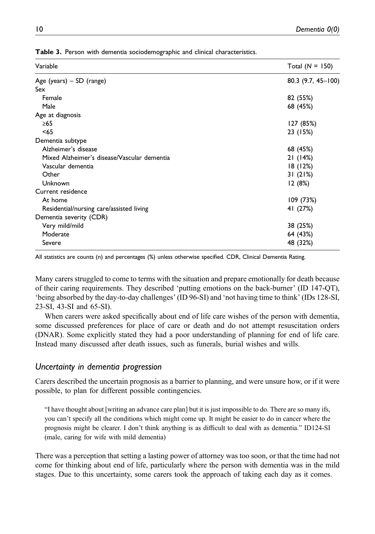| Variable                                    | Total $(N = 150)$    |
|---------------------------------------------|----------------------|
| Age (years) $-$ SD (range)                  | $80.3$ (9.7, 45-100) |
| Sex                                         |                      |
| Female                                      | 82 (55%)             |
| Male                                        | 68 (45%)             |
| Age at diagnosis                            |                      |
| $\geq 65$                                   | 127 (85%)            |
| < 65                                        | 23 (15%)             |
| Dementia subtype                            |                      |
| Alzheimer's disease                         | 68 (45%)             |
| Mixed Alzheimer's disease/Vascular dementia | 21 (14%)             |
| Vascular dementia                           | 18(12%)              |
| Other                                       | 31(21%)              |
| Unknown                                     | 12(8%)               |
| Current residence                           |                      |
| At home                                     | 109(73%)             |
| Residential/nursing care/assisted living    | 41 (27%)             |
| Dementia severity (CDR)                     |                      |
| Very mild/mild                              | 38 (25%)             |
| Moderate                                    | 64 (43%)             |
| Severe                                      | 48 (32%)             |

Table 3. Person with dementia sociodemographic and clinical characteristics.

<span id="page-9-0"></span>All statistics are counts (n) and percentages (%) unless otherwise specified. CDR, Clinical Dementia Rating.

Many carers struggled to come to terms with the situation and prepare emotionally for death because of their caring requirements. They described 'putting emotions on the back-burner' (ID 147-QT), 'being absorbed by the day-to-day challenges' (ID 96-SI) and 'not having time to think' (IDs 128-SI, 23-SI, 43-SI and 65-SI).

When carers were asked specifically about end of life care wishes of the person with dementia, some discussed preferences for place of care or death and do not attempt resuscitation orders (DNAR). Some explicitly stated they had a poor understanding of planning for end of life care. Instead many discussed after death issues, such as funerals, burial wishes and wills.

## Uncertainty in dementia progression

Carers described the uncertain prognosis as a barrier to planning, and were unsure how, or if it were possible, to plan for different possible contingencies.

"I have thought about [writing an advance care plan] but it is just impossible to do. There are so many ifs, you can't specify all the conditions which might come up. It might be easier to do in cancer where the prognosis might be clearer. I don't think anything is as difficult to deal with as dementia." ID124-SI (male, caring for wife with mild dementia)

There was a perception that setting a lasting power of attorney was too soon, or that the time had not come for thinking about end of life, particularly where the person with dementia was in the mild stages. Due to this uncertainty, some carers took the approach of taking each day as it comes.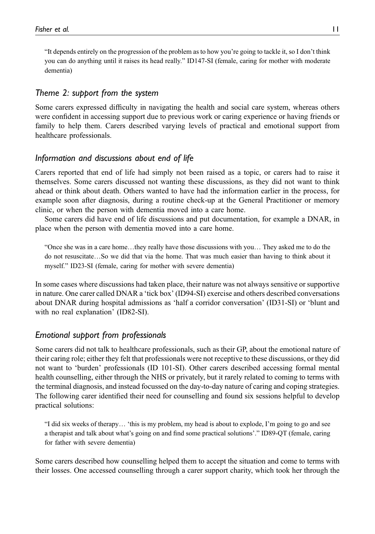"It depends entirely on the progression of the problem as to how you're going to tackle it, so I don't think you can do anything until it raises its head really." ID147-SI (female, caring for mother with moderate dementia)

### Theme 2: support from the system

Some carers expressed difficulty in navigating the health and social care system, whereas others were confident in accessing support due to previous work or caring experience or having friends or family to help them. Carers described varying levels of practical and emotional support from healthcare professionals.

#### Information and discussions about end of life

Carers reported that end of life had simply not been raised as a topic, or carers had to raise it themselves. Some carers discussed not wanting these discussions, as they did not want to think ahead or think about death. Others wanted to have had the information earlier in the process, for example soon after diagnosis, during a routine check-up at the General Practitioner or memory clinic, or when the person with dementia moved into a care home.

Some carers did have end of life discussions and put documentation, for example a DNAR, in place when the person with dementia moved into a care home.

"Once she was in a care home…they really have those discussions with you… They asked me to do the do not resuscitate…So we did that via the home. That was much easier than having to think about it myself." ID23-SI (female, caring for mother with severe dementia)

In some cases where discussions had taken place, their nature was not always sensitive or supportive in nature. One carer called DNAR a 'tick box' (ID94-SI) exercise and others described conversations about DNAR during hospital admissions as 'half a corridor conversation' (ID31-SI) or 'blunt and with no real explanation' (ID82-SI).

## Emotional support from professionals

Some carers did not talk to healthcare professionals, such as their GP, about the emotional nature of their caring role; either they felt that professionals were not receptive to these discussions, or they did not want to 'burden' professionals (ID 101-SI). Other carers described accessing formal mental health counselling, either through the NHS or privately, but it rarely related to coming to terms with the terminal diagnosis, and instead focussed on the day-to-day nature of caring and coping strategies. The following carer identified their need for counselling and found six sessions helpful to develop practical solutions:

"I did six weeks of therapy… 'this is my problem, my head is about to explode, I'm going to go and see a therapist and talk about what's going on and find some practical solutions'." ID89-QT (female, caring for father with severe dementia)

Some carers described how counselling helped them to accept the situation and come to terms with their losses. One accessed counselling through a carer support charity, which took her through the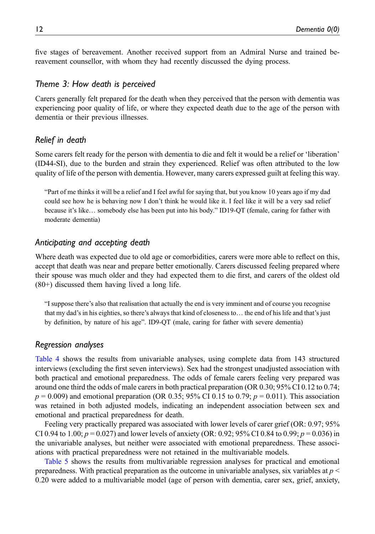five stages of bereavement. Another received support from an Admiral Nurse and trained bereavement counsellor, with whom they had recently discussed the dying process.

#### Theme 3: How death is perceived

Carers generally felt prepared for the death when they perceived that the person with dementia was experiencing poor quality of life, or where they expected death due to the age of the person with dementia or their previous illnesses.

## Relief in death

Some carers felt ready for the person with dementia to die and felt it would be a relief or 'liberation' (ID44-SI), due to the burden and strain they experienced. Relief was often attributed to the low quality of life of the person with dementia. However, many carers expressed guilt at feeling this way.

"Part of me thinks it will be a relief and I feel awful for saying that, but you know 10 years ago if my dad could see how he is behaving now I don't think he would like it. I feel like it will be a very sad relief because it's like… somebody else has been put into his body." ID19-QT (female, caring for father with moderate dementia)

#### Anticipating and accepting death

Where death was expected due to old age or comorbidities, carers were more able to reflect on this, accept that death was near and prepare better emotionally. Carers discussed feeling prepared where their spouse was much older and they had expected them to die first, and carers of the oldest old (80+) discussed them having lived a long life.

"I suppose there's also that realisation that actually the end is very imminent and of course you recognise that my dad's in his eighties, so there's always that kind of closeness to… the end of his life and that's just by definition, by nature of his age". ID9-QT (male, caring for father with severe dementia)

#### Regression analyses

[Table 4](#page-12-0) shows the results from univariable analyses, using complete data from 143 structured interviews (excluding the first seven interviews). Sex had the strongest unadjusted association with both practical and emotional preparedness. The odds of female carers feeling very prepared was around one third the odds of male carers in both practical preparation (OR 0.30; 95% CI 0.12 to 0.74;  $p = 0.009$ ) and emotional preparation (OR 0.35; 95% CI 0.15 to 0.79;  $p = 0.011$ ). This association was retained in both adjusted models, indicating an independent association between sex and emotional and practical preparedness for death.

Feeling very practically prepared was associated with lower levels of carer grief (OR: 0.97; 95% CI 0.94 to 1.00;  $p = 0.027$ ) and lower levels of anxiety (OR: 0.92; 95% CI 0.84 to 0.99;  $p = 0.036$ ) in the univariable analyses, but neither were associated with emotional preparedness. These associations with practical preparedness were not retained in the multivariable models.

[Table 5](#page-13-0) shows the results from multivariable regression analyses for practical and emotional preparedness. With practical preparation as the outcome in univariable analyses, six variables at  $p \leq$ 0.20 were added to a multivariable model (age of person with dementia, carer sex, grief, anxiety,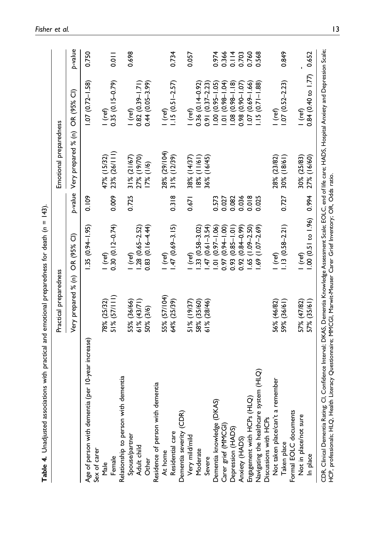<span id="page-12-0"></span>

|                                                                                                                                                                                                                                   | Practical preparedness |                                                                                                                                      |       | Emotional preparedness      |                                     |               |
|-----------------------------------------------------------------------------------------------------------------------------------------------------------------------------------------------------------------------------------|------------------------|--------------------------------------------------------------------------------------------------------------------------------------|-------|-----------------------------|-------------------------------------|---------------|
|                                                                                                                                                                                                                                   | Very prepared % (n)    | OR (95% CI)                                                                                                                          |       | p-value Very prepared % (n) | OR (95% CI)                         | p-value       |
| Age of person with dementia (per 10-year increase)                                                                                                                                                                                |                        | $1.35(0.94 - 1.95)$                                                                                                                  | 0.109 |                             | $1.07(0.72 - 1.58)$                 | 0.750         |
| Sex of carer                                                                                                                                                                                                                      |                        |                                                                                                                                      |       |                             |                                     |               |
| Male                                                                                                                                                                                                                              | 78% (25/32)            | l (ref)                                                                                                                              |       | 47% (15/32)                 |                                     |               |
| Female                                                                                                                                                                                                                            | $51\% (57/111)$        | $0.30(0.12 - 0.74)$                                                                                                                  | 0.009 | 23% (26/111)                | l (ref)<br>0.35 (0.15–0.79)         | $\frac{1}{2}$ |
| Relationship to person with dementia                                                                                                                                                                                              |                        |                                                                                                                                      |       |                             |                                     |               |
|                                                                                                                                                                                                                                   | 55% (36/66)            | I (ref)                                                                                                                              | 0.725 | 31% (21/67)                 | $I$ (ref)                           | 0.698         |
| Spouse/partner<br>Adult child                                                                                                                                                                                                     | 61% (43/71)            | $1.28(0.65 - 2.52)$                                                                                                                  |       | 27% (19/70)                 | $0.82(0.39 - 1.71)$                 |               |
| Other                                                                                                                                                                                                                             | 50% (3/6)              | $0.83(0.16 - 4.44)$                                                                                                                  |       | 17% (1/6)                   | $0.44(0.05 - 3.99)$                 |               |
| Residence of person with dementia                                                                                                                                                                                                 |                        |                                                                                                                                      |       |                             |                                     |               |
| At home                                                                                                                                                                                                                           | 55% (57/104)           | l (ref)                                                                                                                              |       | 28% (29/104)                | I (ref)                             |               |
| Residential care                                                                                                                                                                                                                  | 64% (25/39)            | $1.47(0.69 - 3.15)$                                                                                                                  | 0.318 | $31\%$ (12/39)              | $1.15(0.51 - 2.57)$                 | 0.734         |
| (CDR)<br>Dementia severity                                                                                                                                                                                                        |                        |                                                                                                                                      |       |                             |                                     |               |
| Very mild/mild                                                                                                                                                                                                                    | 51% (19/37)            | (ref)                                                                                                                                | 0.671 | 38% (14/37)                 | I (ref)                             | 0.057         |
| Moderate                                                                                                                                                                                                                          | 58% (35/60)            | $.33(0.58 - 3.02)$                                                                                                                   |       | $18%$ (11/61)               | $0.36(0.14-0.92)$                   |               |
| Severe                                                                                                                                                                                                                            | 61% (28/46)            | $.47(0.61 - 3.54)$                                                                                                                   |       | 36% (16/45)                 | $0.91 (0.37 - 2.23)$                |               |
| Dementia knowledge (DKAS)                                                                                                                                                                                                         |                        | $1.01 (0.97 - 1.06)$                                                                                                                 | 0.573 |                             | $1.00(0.95 - 1.05)$                 | 0.974         |
| Carer grief (MMCGI)                                                                                                                                                                                                               |                        | 0.97 (0.94 - 1.00)                                                                                                                   | 0.027 |                             | $1.01 (0.98 - 1.04)$                | 0.366         |
| Depression (HADS)                                                                                                                                                                                                                 |                        | $0.93(0.85 - 1.01)$                                                                                                                  | 0.082 |                             | $(0.98 - 1.18)$<br>$\overline{108}$ | 0.114         |
| Anxiety (HADS)                                                                                                                                                                                                                    |                        | $0.92(0.84 - 0.99)$                                                                                                                  | 0.036 |                             | $0.98(0.90 - 1.07)$                 | 0.703         |
| Engagement with HCPs (HLQ)                                                                                                                                                                                                        |                        | $(1.09 - 2.50)$<br>$-59$                                                                                                             | 0.018 |                             | $.07(0.69 - 1.66)$                  | 0.760         |
| Navigating the healthcare system (HLQ)                                                                                                                                                                                            |                        | $(1.07 - 2.69)$<br>$\frac{69}{2}$                                                                                                    | 0.025 |                             | $1.15(0.71 - 1.88)$                 | 0.568         |
| Discussions with HCPs                                                                                                                                                                                                             |                        |                                                                                                                                      |       |                             |                                     |               |
| Not taken place/can't a remember                                                                                                                                                                                                  | 56% (46/82)            | l (ref)                                                                                                                              |       | 28% (23/82)                 | l (ref)                             |               |
| Taken place                                                                                                                                                                                                                       | 59% (36/61)            | $1.13(0.58 - 2.21)$                                                                                                                  | 0.727 | 30% (18/61)                 | $1.07(0.52 - 2.23)$                 | 0.849         |
| Formal EOLC documents                                                                                                                                                                                                             |                        |                                                                                                                                      |       |                             |                                     |               |
| Not in place/not sure                                                                                                                                                                                                             | 57% (47/82)            | (ref)                                                                                                                                |       | 30% (25/83)                 | $1$ (ref)                           |               |
| In place                                                                                                                                                                                                                          | (35/61)<br>57%         | 00 (0.5   to 1.96)                                                                                                                   | 0.994 | 27% (16/60)                 | $0.84(0.40 \text{ to } 1.77)$       | 0.652         |
| CDR, Clinical Dementia Rating; Cl, Confidence Interval; DKAS, Dementia Knowledge Assessment Scale; ŁOLC, end of Ine ca<br>HCP, professionals; HLQ, Health Literacy Questionnaire; MMCGI, Marwit-Meuser Carer Grief Inventory; OR, |                        | Confidence Interval; DKAS, Dementia Knowledge Assessment Scale; EOLC, end of life care; HADS, Hospital Anxiety and Depression Scale; |       |                             |                                     |               |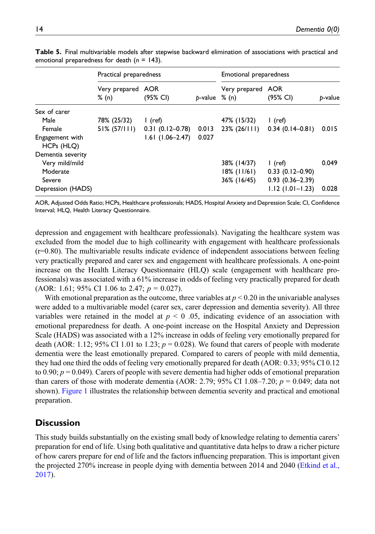|                               | Practical preparedness     |                     |                    | Emotional preparedness |                     |         |
|-------------------------------|----------------------------|---------------------|--------------------|------------------------|---------------------|---------|
|                               | Very prepared AOR<br>% (n) | (95% CI)            | $b$ -value $% (n)$ | Very prepared AOR      | (95% CI)            | p-value |
| Sex of carer                  |                            |                     |                    |                        |                     |         |
| Male                          | 78% (25/32)                | l (ref)             |                    | 47% (15/32)            | $l$ (ref)           |         |
| Female                        | $51\% (57/111)$            | $0.31(0.12 - 0.78)$ | 0.013              | $23\%$ (26/111)        | $0.34(0.14-0.81)$   | 0.015   |
| Engagement with<br>HCPs (HLQ) |                            | $1.61$ (1.06-2.47)  | 0.027              |                        |                     |         |
| Dementia severity             |                            |                     |                    |                        |                     |         |
| Very mild/mild                |                            |                     |                    | 38% (14/37)            | l (ref)             | 0.049   |
| Moderate                      |                            |                     |                    | $18\%$ (11/61)         | $0.33(0.12-0.90)$   |         |
| Severe                        |                            |                     |                    | 36% (16/45)            | $0.93(0.36 - 2.39)$ |         |
| Depression (HADS)             |                            |                     |                    |                        | $1.12$ (1.01-1.23)  | 0.028   |

Table 5. Final multivariable models after stepwise backward elimination of associations with practical and emotional preparedness for death  $(n = 143)$ .

<span id="page-13-0"></span>AOR, Adjusted Odds Ratio; HCPs, Healthcare professionals; HADS, Hospital Anxiety and Depression Scale; CI, Confidence Interval; HLQ, Health Literacy Questionnaire.

depression and engagement with healthcare professionals). Navigating the healthcare system was excluded from the model due to high collinearity with engagement with healthcare professionals  $(r=0.80)$ . The multivariable results indicate evidence of independent associations between feeling very practically prepared and carer sex and engagement with healthcare professionals. A one-point increase on the Health Literacy Questionnaire (HLQ) scale (engagement with healthcare professionals) was associated with a 61% increase in odds of feeling very practically prepared for death (AOR: 1.61; 95% CI 1.06 to 2.47;  $p = 0.027$ ).

With emotional preparation as the outcome, three variables at  $p < 0.20$  in the univariable analyses were added to a multivariable model (carer sex, carer depression and dementia severity). All three variables were retained in the model at  $p \le 0$  .05, indicating evidence of an association with emotional preparedness for death. A one-point increase on the Hospital Anxiety and Depression Scale (HADS) was associated with a 12% increase in odds of feeling very emotionally prepared for death (AOR: 1.12; 95% CI 1.01 to 1.23;  $p = 0.028$ ). We found that carers of people with moderate dementia were the least emotionally prepared. Compared to carers of people with mild dementia, they had one third the odds of feeling very emotionally prepared for death (AOR: 0.33; 95% CI 0.12 to 0.90;  $p = 0.049$ ). Carers of people with severe dementia had higher odds of emotional preparation than carers of those with moderate dementia (AOR: 2.79; 95% CI 1.08–7.20;  $p = 0.049$ ; data not shown). [Figure 1](#page-14-0) illustrates the relationship between dementia severity and practical and emotional preparation.

# **Discussion**

This study builds substantially on the existing small body of knowledge relating to dementia carers' preparation for end of life. Using both qualitative and quantitative data helps to draw a richer picture of how carers prepare for end of life and the factors influencing preparation. This is important given the projected 270% increase in people dying with dementia between 2014 and 2040 ([Etkind et al.,](#page-19-12) [2017](#page-19-12)).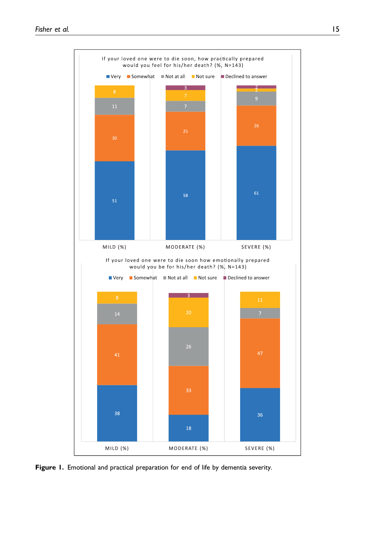

<span id="page-14-0"></span>Figure 1. Emotional and practical preparation for end of life by dementia severity.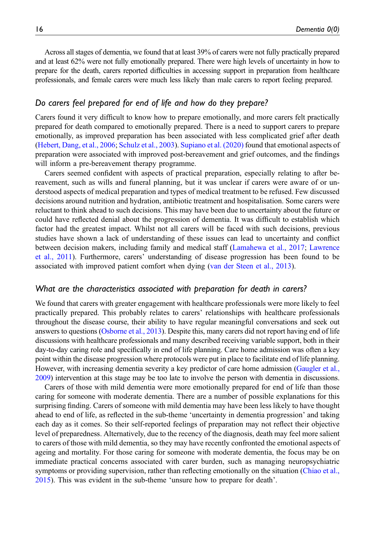Across all stages of dementia, we found that at least 39% of carers were not fully practically prepared and at least 62% were not fully emotionally prepared. There were high levels of uncertainty in how to prepare for the death, carers reported difficulties in accessing support in preparation from healthcare professionals, and female carers were much less likely than male carers to report feeling prepared.

### Do carers feel prepared for end of life and how do they prepare?

Carers found it very difficult to know how to prepare emotionally, and more carers felt practically prepared for death compared to emotionally prepared. There is a need to support carers to prepare emotionally, as improved preparation has been associated with less complicated grief after death ([Hebert, Dang, et al., 2006](#page-19-4); [Schulz et al., 2003\)](#page-21-0). [Supiano et al. \(2020\)](#page-21-1) found that emotional aspects of preparation were associated with improved post-bereavement and grief outcomes, and the findings will inform a pre-bereavement therapy programme.

Carers seemed confident with aspects of practical preparation, especially relating to after bereavement, such as wills and funeral planning, but it was unclear if carers were aware of or understood aspects of medical preparation and types of medical treatment to be refused. Few discussed decisions around nutrition and hydration, antibiotic treatment and hospitalisation. Some carers were reluctant to think ahead to such decisions. This may have been due to uncertainty about the future or could have reflected denial about the progression of dementia. It was difficult to establish which factor had the greatest impact. Whilst not all carers will be faced with such decisions, previous studies have shown a lack of understanding of these issues can lead to uncertainty and conflict between decision makers, including family and medical staff ([Lamahewa et al., 2017;](#page-19-13) [Lawrence](#page-19-14) [et al., 2011\)](#page-19-14). Furthermore, carers' understanding of disease progression has been found to be associated with improved patient comfort when dying [\(van der Steen et al., 2013\)](#page-21-5).

#### What are the characteristics associated with preparation for death in carers?

We found that carers with greater engagement with healthcare professionals were more likely to feel practically prepared. This probably relates to carers' relationships with healthcare professionals throughout the disease course, their ability to have regular meaningful conversations and seek out answers to questions [\(Osborne et al., 2013\)](#page-20-11). Despite this, many carers did not report having end of life discussions with healthcare professionals and many described receiving variable support, both in their day-to-day caring role and specifically in end of life planning. Care home admission was often a key point within the disease progression where protocols were put in place to facilitate end of life planning. However, with increasing dementia severity a key predictor of care home admission [\(Gaugler et al.,](#page-19-15) [2009\)](#page-19-15) intervention at this stage may be too late to involve the person with dementia in discussions.

Carers of those with mild dementia were more emotionally prepared for end of life than those caring for someone with moderate dementia. There are a number of possible explanations for this surprising finding. Carers of someone with mild dementia may have been less likely to have thought ahead to end of life, as reflected in the sub-theme 'uncertainty in dementia progression' and taking each day as it comes. So their self-reported feelings of preparation may not reflect their objective level of preparedness. Alternatively, due to the recency of the diagnosis, death may feel more salient to carers of those with mild dementia, so they may have recently confronted the emotional aspects of ageing and mortality. For those caring for someone with moderate dementia, the focus may be on immediate practical concerns associated with carer burden, such as managing neuropsychiatric symptoms or providing supervision, rather than reflecting emotionally on the situation [\(Chiao et al.,](#page-18-6) [2015](#page-18-6)). This was evident in the sub-theme 'unsure how to prepare for death'.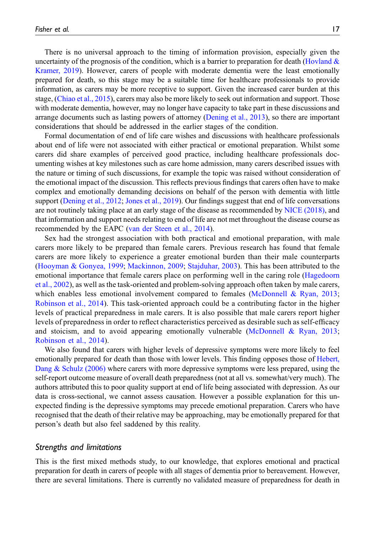There is no universal approach to the timing of information provision, especially given the uncertainty of the prognosis of the condition, which is a barrier to preparation for death (Hovland  $\&$ [Kramer, 2019\)](#page-19-7). However, carers of people with moderate dementia were the least emotionally prepared for death, so this stage may be a suitable time for healthcare professionals to provide information, as carers may be more receptive to support. Given the increased carer burden at this stage, [\(Chiao et al., 2015\)](#page-18-6), carers may also be more likely to seek out information and support. Those with moderate dementia, however, may no longer have capacity to take part in these discussions and arrange documents such as lasting powers of attorney ([Dening et al., 2013](#page-18-7)), so there are important considerations that should be addressed in the earlier stages of the condition.

Formal documentation of end of life care wishes and discussions with healthcare professionals about end of life were not associated with either practical or emotional preparation. Whilst some carers did share examples of perceived good practice, including healthcare professionals documenting wishes at key milestones such as care home admission, many carers described issues with the nature or timing of such discussions, for example the topic was raised without consideration of the emotional impact of the discussion. This reflects previous findings that carers often have to make complex and emotionally demanding decisions on behalf of the person with dementia with little support ([Dening et al., 2012](#page-18-8); [Jones et al., 2019\)](#page-19-16). Our findings suggest that end of life conversations are not routinely taking place at an early stage of the disease as recommended by [NICE \(2018\)](#page-20-16), and that information and support needs relating to end of life are not met throughout the disease course as recommended by the EAPC [\(van der Steen et al., 2014\)](#page-21-2).

Sex had the strongest association with both practical and emotional preparation, with male carers more likely to be prepared than female carers. Previous research has found that female carers are more likely to experience a greater emotional burden than their male counterparts ([Hooyman & Gonyea, 1999;](#page-19-10) [Mackinnon, 2009;](#page-20-14) [Stajduhar, 2003](#page-21-6)). This has been attributed to the emotional importance that female carers place on performing well in the caring role ([Hagedoorn](#page-19-17) [et al., 2002](#page-19-17)), as well as the task-oriented and problem-solving approach often taken by male carers, which enables less emotional involvement compared to females [\(McDonnell & Ryan, 2013;](#page-20-17) [Robinson et al., 2014\)](#page-20-18). This task-oriented approach could be a contributing factor in the higher levels of practical preparedness in male carers. It is also possible that male carers report higher levels of preparedness in order to reflect characteristics perceived as desirable such as self-efficacy and stoicism, and to avoid appearing emotionally vulnerable [\(McDonnell & Ryan, 2013;](#page-20-17) [Robinson et al., 2014](#page-20-18)).

We also found that carers with higher levels of depressive symptoms were more likely to feel emotionally prepared for death than those with lower levels. This finding opposes those of [Hebert,](#page-19-4) [Dang & Schulz \(2006\)](#page-19-4) where carers with more depressive symptoms were less prepared, using the self-report outcome measure of overall death preparedness (not at all vs. somewhat/very much). The authors attributed this to poor quality support at end of life being associated with depression. As our data is cross-sectional, we cannot assess causation. However a possible explanation for this unexpected finding is the depressive symptoms may precede emotional preparation. Carers who have recognised that the death of their relative may be approaching, may be emotionally prepared for that person's death but also feel saddened by this reality.

#### Strengths and limitations

This is the first mixed methods study, to our knowledge, that explores emotional and practical preparation for death in carers of people with all stages of dementia prior to bereavement. However, there are several limitations. There is currently no validated measure of preparedness for death in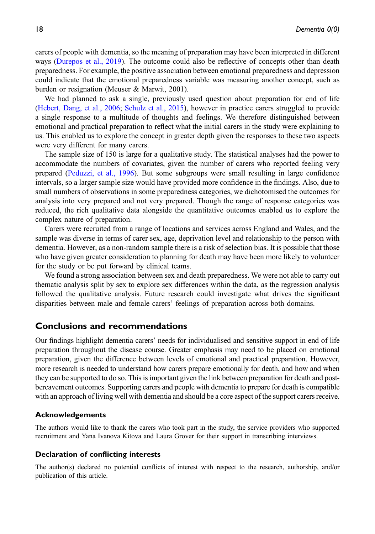carers of people with dementia, so the meaning of preparation may have been interpreted in different ways ([Durepos et al., 2019](#page-19-18)). The outcome could also be reflective of concepts other than death preparedness. For example, the positive association between emotional preparedness and depression could indicate that the emotional preparedness variable was measuring another concept, such as burden or resignation (Meuser & Marwit, 2001).

We had planned to ask a single, previously used question about preparation for end of life ([Hebert, Dang, et al., 2006](#page-19-4); [Schulz et al., 2015](#page-21-3)), however in practice carers struggled to provide a single response to a multitude of thoughts and feelings. We therefore distinguished between emotional and practical preparation to reflect what the initial carers in the study were explaining to us. This enabled us to explore the concept in greater depth given the responses to these two aspects were very different for many carers.

The sample size of 150 is large for a qualitative study. The statistical analyses had the power to accommodate the numbers of covariates, given the number of carers who reported feeling very prepared [\(Peduzzi, et al., 1996](#page-20-12)). But some subgroups were small resulting in large confidence intervals, so a larger sample size would have provided more confidence in the findings. Also, due to small numbers of observations in some preparedness categories, we dichotomised the outcomes for analysis into very prepared and not very prepared. Though the range of response categories was reduced, the rich qualitative data alongside the quantitative outcomes enabled us to explore the complex nature of preparation.

Carers were recruited from a range of locations and services across England and Wales, and the sample was diverse in terms of carer sex, age, deprivation level and relationship to the person with dementia. However, as a non-random sample there is a risk of selection bias. It is possible that those who have given greater consideration to planning for death may have been more likely to volunteer for the study or be put forward by clinical teams.

We found a strong association between sex and death preparedness. We were not able to carry out thematic analysis split by sex to explore sex differences within the data, as the regression analysis followed the qualitative analysis. Future research could investigate what drives the significant disparities between male and female carers' feelings of preparation across both domains.

#### Conclusions and recommendations

Our findings highlight dementia carers' needs for individualised and sensitive support in end of life preparation throughout the disease course. Greater emphasis may need to be placed on emotional preparation, given the difference between levels of emotional and practical preparation. However, more research is needed to understand how carers prepare emotionally for death, and how and when they can be supported to do so. This is important given the link between preparation for death and postbereavement outcomes. Supporting carers and people with dementia to prepare for death is compatible with an approach of living well with dementia and should be a core aspect of the support carers receive.

#### Acknowledgements

The authors would like to thank the carers who took part in the study, the service providers who supported recruitment and Yana Ivanova Kitova and Laura Grover for their support in transcribing interviews.

#### Declaration of conflicting interests

The author(s) declared no potential conflicts of interest with respect to the research, authorship, and/or publication of this article.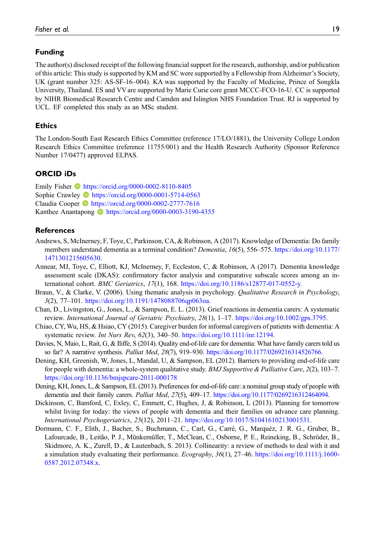#### Funding

The author(s) disclosed receipt of the following financial support for the research, authorship, and/or publication of this article: This study is supported by KM and SC were supported by a Fellowship from Alzheimer's Society, UK (grant number 325: AS-SF-16–004). KA was supported by the Faculty of Medicine, Prince of Songkla University, Thailand. ES and VV are supported by Marie Curie core grant MCCC-FCO-16-U. CC is supported by NIHR Biomedical Research Centre and Camden and Islington NHS Foundation Trust. RJ is supported by UCL. EF completed this study as an MSc student.

#### **Ethics**

The London-South East Research Ethics Committee (reference 17/LO/1881), the University College London Research Ethics Committee (reference 11755/001) and the Health Research Authority (Sponsor Reference Number 17/0477) approved ELPAS.

#### ORCID iDs

Emily Fisher  $\bullet$  <https://orcid.org/0000-0002-8110-8405> Sophie Crawley **b** <https://orcid.org/0000-0001-5714-0563> Claudia Cooper <https://orcid.org/0000-0002-2777-7616> Kanthee Anantapong **b** <https://orcid.org/0000-0003-3190-4355>

#### References

- <span id="page-18-0"></span>Andrews, S, McInerney, F, Toye, C, Parkinson, CA, & Robinson, A (2017). Knowledge of Dementia: Do family members understand dementia as a terminal condition? Dementia, 16(5), 556–575. [https://doi.org/10.1177/](https://doi.org/10.1177/1471301215605630) [1471301215605630](https://doi.org/10.1177/1471301215605630).
- <span id="page-18-2"></span>Annear, MJ, Toye, C, Elliott, KJ, McInerney, F, Eccleston, C, & Robinson, A (2017). Dementia knowledge assessment scale (DKAS): confirmatory factor analysis and comparative subscale scores among an international cohort. BMC Geriatrics, 17(1), 168. [https://doi.org/10.1186/s12877-017-0552-y.](https://doi.org/10.1186/s12877-017-0552-y)
- <span id="page-18-3"></span>Braun, V., & Clarke, V. (2006). Using thematic analysis in psychology. Qualitative Research in Psychology, 3(2), 77–101. [https://doi.org/10.1191/1478088706qp063oa.](https://doi.org/10.1191/1478088706qp063oa)
- Chan, D., Livingston, G., Jones, L., & Sampson, E. L. (2013). Grief reactions in dementia carers: A systematic review. International Journal of Geriatric Psychiatry, 28(1), 1–17. <https://doi.org/10.1002/gps.3795>.
- <span id="page-18-6"></span>Chiao, CY, Wu, HS, & Hsiao, CY (2015). Caregiver burden for informal caregivers of patients with dementia: A systematic review. Int Nurs Rev, 62(3), 340-50. <https://doi.org/10.1111/inr.12194>.
- <span id="page-18-5"></span>Davies, N, Maio, L, Rait, G, & Iliffe, S (2014). Quality end-of-life care for dementia: What have family carers told us so far? A narrative synthesis. Palliat Med, 28(7), 919–930. [https://doi.org/10.1177/0269216314526766.](https://doi.org/10.1177/0269216314526766)
- <span id="page-18-8"></span>Dening, KH, Greenish, W, Jones, L, Mandal, U, & Sampson, EL (2012). Barriers to providing end-of-life care for people with dementia: a whole-system qualitative study. BMJ Supportive & Palliative Care, 2(2), 103–7. <https://doi.org/10.1136/bmjspcare-2011-000178>
- <span id="page-18-7"></span>Dening, KH, Jones, L, & Sampson, EL (2013). Preferences for end-of-life care: a nominal group study of people with dementia and their family carers. *Palliat Med, 27(5)*, 409–17. [https://doi.org/10.1177/0269216312464094.](https://doi.org/10.1177/0269216312464094)
- <span id="page-18-1"></span>Dickinson, C, Bamford, C, Exley, C, Emmett, C, Hughes, J, & Robinson, L (2013). Planning for tomorrow whilst living for today: the views of people with dementia and their families on advance care planning. International Psychogeriatrics, 25(12), 2011–21. <https://doi.org/10.1017/S1041610213001531>.
- <span id="page-18-4"></span>Dormann, C. F., Elith, J., Bacher, S., Buchmann, C., Carl, G., Carré, G., Marquéz, J. R. G., Gruber, B., Lafourcade, B., Leitão, P. J., Münkemüller, T., McClean, C., Osborne, P. E., Reineking, B., Schroder, B., ¨ Skidmore, A. K., Zurell, D., & Lautenbach, S. 2013). Collinearity: a review of methods to deal with it and a simulation study evaluating their performance. Ecography,  $36(1)$ ,  $27-46$ . [https://doi.org/10.1111/j.1600-](https://doi.org/10.1111/j.1600-0587.2012.07348.x) [0587.2012.07348.x.](https://doi.org/10.1111/j.1600-0587.2012.07348.x)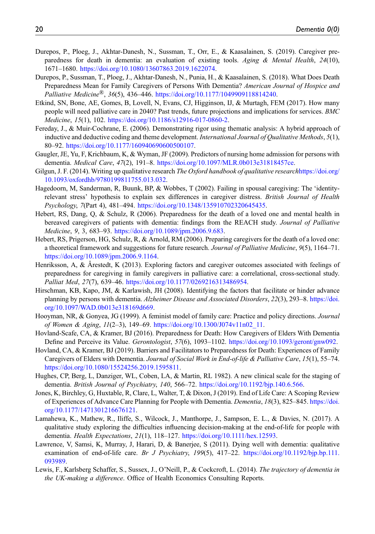- <span id="page-19-18"></span>Durepos, P., Ploeg, J., Akhtar-Danesh, N., Sussman, T., Orr, E., & Kaasalainen, S. (2019). Caregiver preparedness for death in dementia: an evaluation of existing tools. Aging & Mental Health, 24(10), 1671–1680. <https://doi.org/10.1080/13607863.2019.1622074>.
- <span id="page-19-1"></span>Durepos, P., Sussman, T., Ploeg, J., Akhtar-Danesh, N., Punia, H., & Kaasalainen, S. (2018). What Does Death Preparedness Mean for Family Caregivers of Persons With Dementia? American Journal of Hospice and Palliative Medicine®, 36(5), 436-446. [https://doi.org/10.1177/1049909118814240.](https://doi.org/10.1177/1049909118814240)
- <span id="page-19-12"></span>Etkind, SN, Bone, AE, Gomes, B, Lovell, N, Evans, CJ, Higginson, IJ, & Murtagh, FEM (2017). How many people will need palliative care in 2040? Past trends, future projections and implications for services. BMC Medicine, 15(1), 102. [https://doi.org/10.1186/s12916-017-0860-2.](https://doi.org/10.1186/s12916-017-0860-2)
- <span id="page-19-8"></span>Fereday, J., & Muir-Cochrane, E. (2006). Demonstrating rigor using thematic analysis: A hybrid approach of inductive and deductive coding and theme development. International Journal of Qualitative Methods, 5(1), 80–92. <https://doi.org/10.1177/160940690600500107>.
- <span id="page-19-15"></span>Gaugler, JE, Yu, F, Krichbaum, K, & Wyman, JF (2009). Predictors of nursing home admission for persons with dementia. Medical Care, 47(2), 191-8. [https://doi.org/10.1097/MLR.0b013e31818457ce.](https://doi.org/10.1097/MLR.0b013e31818457ce)
- <span id="page-19-9"></span>Gilgun, J. F. (2014). Writing up qualitative research *The Oxford handbook of qualitative research[https://doi.org/](https://doi.org/10.1093/oxfordhb/9780199811755.013.032)* [10.1093/oxfordhb/9780199811755.013.032](https://doi.org/10.1093/oxfordhb/9780199811755.013.032).
- <span id="page-19-17"></span>Hagedoorn, M, Sanderman, R, Buunk, BP, & Wobbes, T (2002). Failing in spousal caregiving: The 'identityrelevant stress' hypothesis to explain sex differences in caregiver distress. British Journal of Health Psychology, 7(Part 4), 481–494. <https://doi.org/10.1348/135910702320645435>.
- <span id="page-19-4"></span>Hebert, RS, Dang, Q, & Schulz, R (2006). Preparedness for the death of a loved one and mental health in bereaved caregivers of patients with dementia: findings from the REACH study. Journal of Palliative Medicine, 9, 3, 683–93. <https://doi.org/10.1089/jpm.2006.9.683>.
- <span id="page-19-2"></span>Hebert, RS, Prigerson, HG, Schulz, R, & Arnold, RM (2006). Preparing caregivers for the death of a loved one: a theoretical framework and suggestions for future research. Journal of Palliative Medicine, 9(5), 1164–71. [https://doi.org/10.1089/jpm.2006.9.1164.](https://doi.org/10.1089/jpm.2006.9.1164)
- <span id="page-19-3"></span>Henriksson, A, & Arestedt, K (2013). Exploring factors and caregiver outcomes associated with feelings of preparedness for caregiving in family caregivers in palliative care: a correlational, cross-sectional study. Palliat Med, 27(7), 639–46. <https://doi.org/10.1177/0269216313486954>.
- <span id="page-19-6"></span>Hirschman, KB, Kapo, JM, & Karlawish, JH (2008). Identifying the factors that facilitate or hinder advance planning by persons with dementia. Alzheimer Disease and Associated Disorders, 22(3), 293–8. [https://doi.](https://doi.org/10.1097/WAD.0b013e318169d669) [org/10.1097/WAD.0b013e318169d669.](https://doi.org/10.1097/WAD.0b013e318169d669)
- <span id="page-19-10"></span>Hooyman, NR, & Gonyea, JG (1999). A feminist model of family care: Practice and policy directions. Journal of Women & Aging,  $11(2-3)$ , 149-69. https://doi.org/10.1300/J074v11n02 11.
- <span id="page-19-5"></span>Hovland-Scafe, CA, & Kramer, BJ (2016). Preparedness for Death: How Caregivers of Elders With Dementia Define and Perceive its Value. Gerontologist, 57(6), 1093–1102. <https://doi.org/10.1093/geront/gnw092>.
- <span id="page-19-7"></span>Hovland, CA, & Kramer, BJ (2019). Barriers and Facilitators to Preparedness for Death: Experiences of Family Caregivers of Elders with Dementia. Journal of Social Work in End-of-life & Palliative Care, 15(1), 55–74. [https://doi.org/10.1080/15524256.2019.1595811.](https://doi.org/10.1080/15524256.2019.1595811)
- <span id="page-19-11"></span>Hughes, CP, Berg, L, Danziger, WL, Coben, LA, & Martin, RL 1982). A new clinical scale for the staging of dementia. British Journal of Psychiatry, 140, 566–72. <https://doi.org/10.1192/bjp.140.6.566>.
- <span id="page-19-16"></span>Jones, K, Birchley, G, Huxtable, R, Clare, L, Walter, T, & Dixon, J (2019). End of Life Care: A Scoping Review of Experiences of Advance Care Planning for People with Dementia. Dementia, 18(3), 825–845. [https://doi.](https://doi.org/10.1177/1471301216676121) [org/10.1177/1471301216676121.](https://doi.org/10.1177/1471301216676121)
- <span id="page-19-13"></span>Lamahewa, K., Mathew, R., Iliffe, S., Wilcock, J., Manthorpe, J., Sampson, E. L., & Davies, N. (2017). A qualitative study exploring the difficulties influencing decision-making at the end-of-life for people with dementia. Health Expectations, 21(1), 118–127. [https://doi.org/10.1111/hex.12593.](https://doi.org/10.1111/hex.12593)
- <span id="page-19-14"></span>Lawrence, V, Samsi, K, Murray, J, Harari, D, & Banerjee, S (2011). Dying well with dementia: qualitative examination of end-of-life care. Br J Psychiatry, 199(5), 417-22. [https://doi.org/10.1192/bjp.bp.111.](https://doi.org/10.1192/bjp.bp.111.093989) [093989](https://doi.org/10.1192/bjp.bp.111.093989).
- <span id="page-19-0"></span>Lewis, F., Karlsberg Schaffer, S., Sussex, J., O'Neill, P., & Cockcroft, L. (2014). The trajectory of dementia in the UK-making a difference. Office of Health Economics Consulting Reports.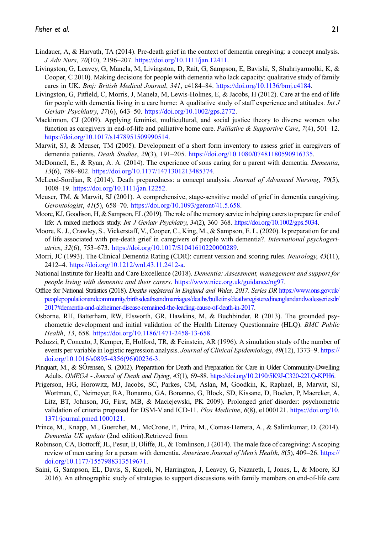- <span id="page-20-1"></span>Lindauer, A, & Harvath, TA (2014). Pre-death grief in the context of dementia caregiving: a concept analysis. J Adv Nurs, 70(10), 2196–207. [https://doi.org/10.1111/jan.12411.](https://doi.org/10.1111/jan.12411)
- <span id="page-20-4"></span>Livingston, G, Leavey, G, Manela, M, Livingston, D, Rait, G, Sampson, E, Bavishi, S, Shahriyarmolki, K, & Cooper, C 2010). Making decisions for people with dementia who lack capacity: qualitative study of family cares in UK. Bmj: British Medical Journal, 341, c4184–84. <https://doi.org/10.1136/bmj.c4184>.
- <span id="page-20-5"></span>Livingston, G, Pitfield, C, Morris, J, Manela, M, Lewis-Holmes, E, & Jacobs, H (2012). Care at the end of life for people with dementia living in a care home: A qualitative study of staff experience and attitudes. Int J Geriatr Psychiatry, 27(6), 643–50. [https://doi.org/10.1002/gps.2772.](https://doi.org/10.1002/gps.2772)
- <span id="page-20-14"></span>Mackinnon, CJ (2009). Applying feminist, multicultural, and social justice theory to diverse women who function as caregivers in end-of-life and palliative home care. Palliative & Supportive Care, 7(4), 501–12. <https://doi.org/10.1017/s1478951509990514>.
- <span id="page-20-9"></span>Marwit, SJ, & Meuser, TM (2005). Development of a short form inventory to assess grief in caregivers of dementia patients. Death Studies, 29(3), 191–205. <https://doi.org/10.1080/07481180590916335>.
- <span id="page-20-17"></span>McDonnell, E., & Ryan, A. A. (2014). The experience of sons caring for a parent with dementia. Dementia, 13(6), 788–802. [https://doi.org/10.1177/1471301213485374.](https://doi.org/10.1177/1471301213485374)
- <span id="page-20-15"></span>McLeod-Sordjan, R (2014). Death preparedness: a concept analysis. Journal of Advanced Nursing, 70(5), 1008–19. <https://doi.org/10.1111/jan.12252>.
- Meuser, TM, & Marwit, SJ (2001). A comprehensive, stage-sensitive model of grief in dementia caregiving. Gerontologist, 41(5), 658–70. [https://doi.org/10.1093/geront/41.5.658.](https://doi.org/10.1093/geront/41.5.658)
- <span id="page-20-6"></span>Moore, KJ, Goodison, H, & Sampson, EL (2019). The role of the memory service in helping carers to prepare for end of life: A mixed methods study. Int J Geriatr Psychiatry, 34(2), 360–368. <https://doi.org/10.1002/gps.5034>.
- <span id="page-20-8"></span>Moore, K. J., Crawley, S., Vickerstaff, V., Cooper, C., King, M., & Sampson, E. L. (2020). Is preparation for end of life associated with pre-death grief in caregivers of people with dementia?. International psychogeriatrics, 32(6), 753–673. [https://doi.org/10.1017/S1041610220000289](http://dx.doi.org/https://doi.org/10.1017/S1041610220000289).
- <span id="page-20-10"></span>Morri, JC (1993). The Clinical Dementia Rating (CDR): current version and scoring rules. Neurology, 43(11), 2412–4. [https://doi.org/10.1212/wnl.43.11.2412-a.](https://doi.org/10.1212/wnl.43.11.2412-a)
- <span id="page-20-16"></span>National Institute for Health and Care Excellence (2018). Dementia: Assessment, management and support for people living with dementia and their carers. [https://www.nice.org.uk/guidance/ng97.](https://www.nice.org.uk/guidance/ng97)
- <span id="page-20-2"></span>Office for National Statistics (2018). Deaths registered in England and Wales, 2017. Series DR [https://www.ons.gov.uk/](https://www.ons.gov.uk/peoplepopulationandcommunity/birthsdeathsandmarriages/deaths/bulletins/deathsregisteredinenglandandwalesseriesdr/2017#dementia-and-alzheimer-disease-remained-the-leading-cause-of-death-in-2017) [peoplepopulationandcommunity/birthsdeathsandmarriages/deaths/bulletins/deathsregisteredinenglandandwalesseriesdr/](https://www.ons.gov.uk/peoplepopulationandcommunity/birthsdeathsandmarriages/deaths/bulletins/deathsregisteredinenglandandwalesseriesdr/2017#dementia-and-alzheimer-disease-remained-the-leading-cause-of-death-in-2017) [2017#dementia-and-alzheimer-disease-remained-the-leading-cause-of-death-in-2017](https://www.ons.gov.uk/peoplepopulationandcommunity/birthsdeathsandmarriages/deaths/bulletins/deathsregisteredinenglandandwalesseriesdr/2017#dementia-and-alzheimer-disease-remained-the-leading-cause-of-death-in-2017).
- <span id="page-20-11"></span>Osborne, RH, Batterham, RW, Elsworth, GR, Hawkins, M, & Buchbinder, R (2013). The grounded psychometric development and initial validation of the Health Literacy Questionnaire (HLQ). BMC Public Health, 13, 658. <https://doi.org/10.1186/1471-2458-13-658>.
- <span id="page-20-12"></span>Peduzzi, P, Concato, J, Kemper, E, Holford, TR, & Feinstein, AR (1996). A simulation study of the number of events per variable in logistic regression analysis. Journal of Clinical Epidemiology, 49(12), 1373–9. [https://](https://doi.org/10.1016/s0895-4356(96)00236-3) [doi.org/10.1016/s0895-4356\(96\)00236-3](https://doi.org/10.1016/s0895-4356(96)00236-3).
- <span id="page-20-13"></span>Pinquart, M., & SOrensen, S. (2002). Preparation for Death and Preparation for Care in Older Community-Dwelling Adults. OMEGA - Journal of Death and Dying, 45(1), 69–88. <https://doi.org/10.2190/5K9J-C320-22LQ-KPH6>.
- <span id="page-20-3"></span>Prigerson, HG, Horowitz, MJ, Jacobs, SC, Parkes, CM, Aslan, M, Goodkin, K, Raphael, B, Marwit, SJ, Wortman, C, Neimeyer, RA, Bonanno, GA, Bonanno, G, Block, SD, Kissane, D, Boelen, P, Maercker, A, Litz, BT, Johnson, JG, First, MB, & Maciejewski, PK 2009). Prolonged grief disorder: psychometric validation of criteria proposed for DSM-V and ICD-11. Plos Medicine, 6(8), e1000121. [https://doi.org/10.](https://doi.org/10.1371/journal.pmed.1000121) [1371/journal.pmed.1000121](https://doi.org/10.1371/journal.pmed.1000121).
- <span id="page-20-0"></span>Prince, M., Knapp, M., Guerchet, M., McCrone, P., Prina, M., Comas-Herrera, A., & Salimkumar, D. (2014). Dementia UK update (2nd edition).Retrieved from
- <span id="page-20-18"></span>Robinson, CA, Bottorff, JL, Pesut, B, Oliffe, JL, & Tomlinson, J (2014). The male face of caregiving: A scoping review of men caring for a person with dementia. American Journal of Men's Health, 8(5), 409–26. [https://](https://doi.org/10.1177/1557988313519671) [doi.org/10.1177/1557988313519671](https://doi.org/10.1177/1557988313519671).
- <span id="page-20-7"></span>Saini, G, Sampson, EL, Davis, S, Kupeli, N, Harrington, J, Leavey, G, Nazareth, I, Jones, L, & Moore, KJ 2016). An ethnographic study of strategies to support discussions with family members on end-of-life care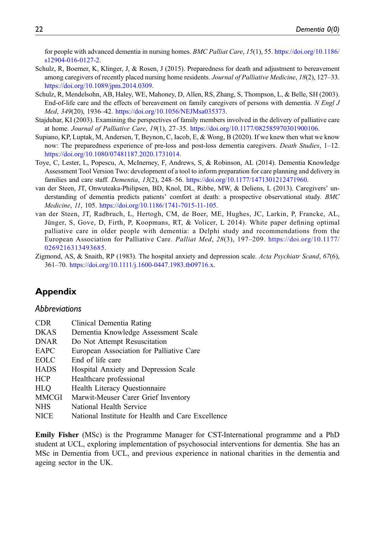for people with advanced dementia in nursing homes. BMC Palliat Care, 15(1), 55. [https://doi.org/10.1186/](https://doi.org/10.1186/s12904-016-0127-2) [s12904-016-0127-2.](https://doi.org/10.1186/s12904-016-0127-2)

- <span id="page-21-3"></span>Schulz, R, Boerner, K, Klinger, J, & Rosen, J (2015). Preparedness for death and adjustment to bereavement among caregivers of recently placed nursing home residents. Journal of Palliative Medicine, 18(2), 127–33. <https://doi.org/10.1089/jpm.2014.0309>.
- <span id="page-21-0"></span>Schulz, R, Mendelsohn, AB, Haley, WE, Mahoney, D, Allen, RS, Zhang, S, Thompson, L, & Belle, SH (2003). End-of-life care and the effects of bereavement on family caregivers of persons with dementia. N Engl J Med, 349(20), 1936–42. [https://doi.org/10.1056/NEJMsa035373.](https://doi.org/10.1056/NEJMsa035373)
- <span id="page-21-6"></span>Stajduhar, KI (2003). Examining the perspectives of family members involved in the delivery of palliative care at home. Journal of Palliative Care, 19(1), 27-35. [https://doi.org/10.1177/082585970301900106.](https://doi.org/10.1177/082585970301900106)
- <span id="page-21-1"></span>Supiano, KP, Luptak, M, Andersen, T, Beynon, C, Iacob, E, & Wong, B (2020). If we knew then what we know now: The preparedness experience of pre-loss and post-loss dementia caregivers. Death Studies, 1–12. [https://doi.org/10.1080/07481187.2020.1731014.](https://doi.org/10.1080/07481187.2020.1731014)
- Toye, C, Lester, L, Popescu, A, McInerney, F, Andrews, S, & Robinson, AL (2014). Dementia Knowledge Assessment Tool Version Two: development of a tool to inform preparation for care planning and delivery in families and care staff. *Dementia, 13*(2), 248–56. [https://doi.org/10.1177/1471301212471960.](https://doi.org/10.1177/1471301212471960)
- <span id="page-21-5"></span>van der Steen, JT, Onwuteaka-Philipsen, BD, Knol, DL, Ribbe, MW, & Deliens, L (2013). Caregivers' understanding of dementia predicts patients' comfort at death: a prospective observational study. BMC Medicine, 11, 105. <https://doi.org/10.1186/1741-7015-11-105>.
- <span id="page-21-2"></span>van der Steen, JT, Radbruch, L, Hertogh, CM, de Boer, ME, Hughes, JC, Larkin, P, Francke, AL, Jünger, S, Gove, D, Firth, P, Koopmans, RT, & Volicer, L 2014). White paper defining optimal palliative care in older people with dementia: a Delphi study and recommendations from the European Association for Palliative Care. Palliat Med, 28(3), 197–209. [https://doi.org/10.1177/](https://doi.org/10.1177/0269216313493685) [0269216313493685.](https://doi.org/10.1177/0269216313493685)
- <span id="page-21-4"></span>Zigmond, AS, & Snaith, RP (1983). The hospital anxiety and depression scale. Acta Psychiatr Scand, 67(6), 361–70. <https://doi.org/10.1111/j.1600-0447.1983.tb09716.x>.

# Appendix

#### **Abbreviations**

| <b>CDR</b>   | Clinical Dementia Rating                          |
|--------------|---------------------------------------------------|
| <b>DKAS</b>  | Dementia Knowledge Assessment Scale               |
| <b>DNAR</b>  | Do Not Attempt Resuscitation                      |
| EAPC         | European Association for Palliative Care          |
| <b>EOLC</b>  | End of life care                                  |
| <b>HADS</b>  | Hospital Anxiety and Depression Scale             |
| <b>HCP</b>   | Healthcare professional                           |
| <b>HLO</b>   | Health Literacy Questionnaire                     |
| <b>MMCGI</b> | Marwit-Meuser Carer Grief Inventory               |
| <b>NHS</b>   | National Health Service                           |
| <b>NICE</b>  | National Institute for Health and Care Excellence |

Emily Fisher (MSc) is the Programme Manager for CST-International programme and a PhD student at UCL, exploring implementation of psychosocial interventions for dementia. She has an MSc in Dementia from UCL, and previous experience in national charities in the dementia and ageing sector in the UK.